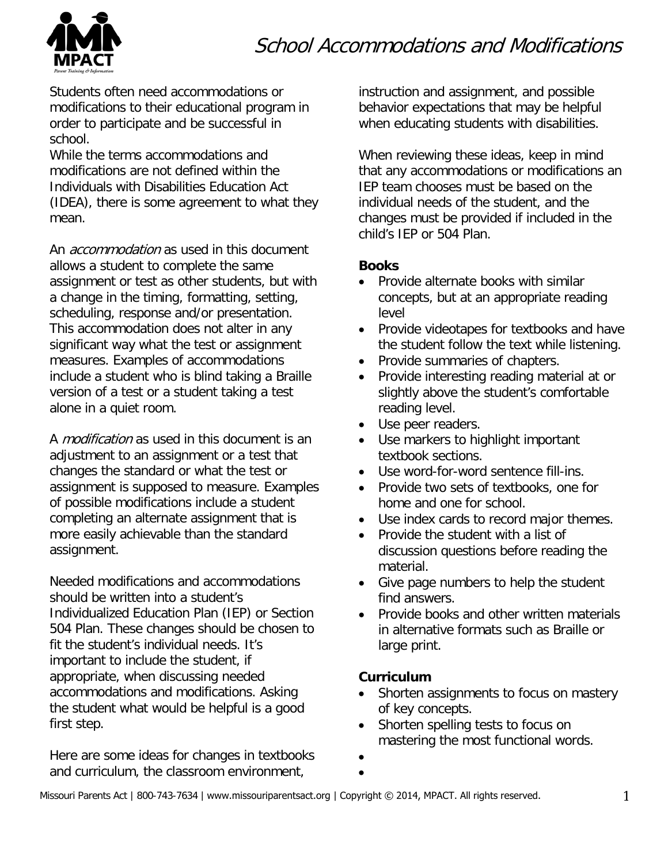# School Accommodations and Modifications



Students often need accommodations or modifications to their educational program in order to participate and be successful in school.

While the terms accommodations and modifications are not defined within the Individuals with Disabilities Education Act (IDEA), there is some agreement to what they mean.

An *accommodation* as used in this document allows a student to complete the same assignment or test as other students, but with a change in the timing, formatting, setting, scheduling, response and/or presentation. This accommodation does not alter in any significant way what the test or assignment measures. Examples of accommodations include a student who is blind taking a Braille version of a test or a student taking a test alone in a quiet room.

A *modification* as used in this document is an adjustment to an assignment or a test that changes the standard or what the test or assignment is supposed to measure. Examples of possible modifications include a student completing an alternate assignment that is more easily achievable than the standard assignment.

Needed modifications and accommodations should be written into a student's Individualized Education Plan (IEP) or Section 504 Plan. These changes should be chosen to fit the student's individual needs. It's important to include the student, if appropriate, when discussing needed accommodations and modifications. Asking the student what would be helpful is a good first step.

Here are some ideas for changes in textbooks and curriculum, the classroom environment,

instruction and assignment, and possible behavior expectations that may be helpful when educating students with disabilities.

When reviewing these ideas, keep in mind that any accommodations or modifications an IEP team chooses must be based on the individual needs of the student, and the changes must be provided if included in the child's IEP or 504 Plan.

### **Books**

- Provide alternate books with similar concepts, but at an appropriate reading level
- Provide videotapes for textbooks and have the student follow the text while listening.
- Provide summaries of chapters.
- Provide interesting reading material at or slightly above the student's comfortable reading level.
- Use peer readers.
- Use markers to highlight important textbook sections.
- Use word-for-word sentence fill-ins.
- Provide two sets of textbooks, one for home and one for school.
- Use index cards to record major themes.
- Provide the student with a list of discussion questions before reading the material.
- Give page numbers to help the student find answers.
- Provide books and other written materials in alternative formats such as Braille or large print.

### **Curriculum**

- Shorten assignments to focus on mastery of key concepts.
- Shorten spelling tests to focus on mastering the most functional words.
- •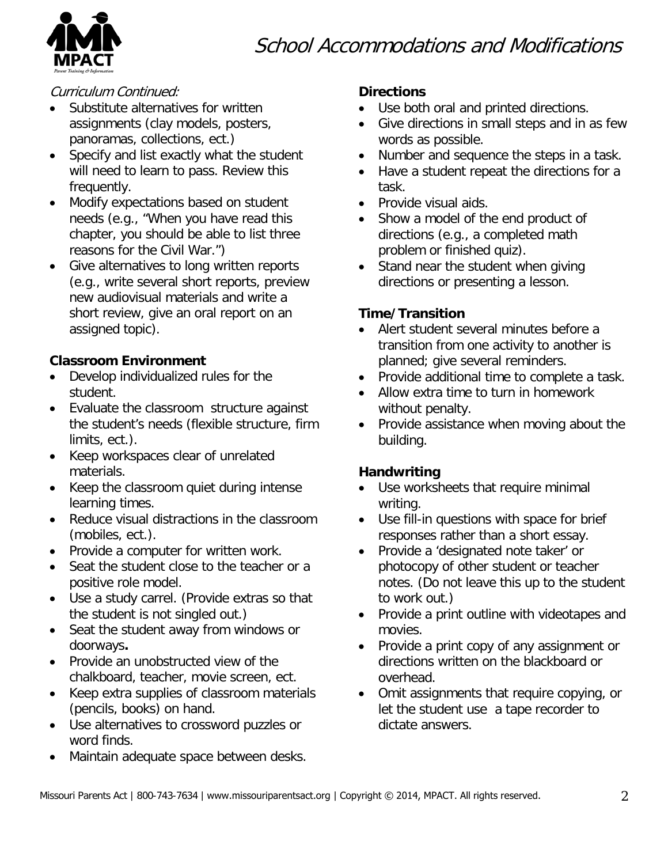



#### Curriculum Continued:

- Substitute alternatives for written assignments (clay models, posters, panoramas, collections, ect.)
- Specify and list exactly what the student will need to learn to pass. Review this frequently.
- Modify expectations based on student needs (e.g., "When you have read this chapter, you should be able to list three reasons for the Civil War.")
- Give alternatives to long written reports (e.g., write several short reports, preview new audiovisual materials and write a short review, give an oral report on an assigned topic).

### **Classroom Environment**

- Develop individualized rules for the student.
- Evaluate the classroom structure against the student's needs (flexible structure, firm limits, ect.).
- Keep workspaces clear of unrelated materials.
- Keep the classroom quiet during intense learning times.
- Reduce visual distractions in the classroom (mobiles, ect.).
- Provide a computer for written work.
- Seat the student close to the teacher or a positive role model.
- Use a study carrel. (Provide extras so that the student is not singled out.)
- Seat the student away from windows or doorways**.**
- Provide an unobstructed view of the chalkboard, teacher, movie screen, ect.
- Keep extra supplies of classroom materials (pencils, books) on hand.
- Use alternatives to crossword puzzles or word finds.
- Maintain adequate space between desks.

### **Directions**

- Use both oral and printed directions.
- Give directions in small steps and in as few words as possible.
- Number and sequence the steps in a task.
- Have a student repeat the directions for a task.
- Provide visual aids.
- Show a model of the end product of directions (e.g., a completed math problem or finished quiz).
- Stand near the student when giving directions or presenting a lesson.

### **Time/Transition**

- Alert student several minutes before a transition from one activity to another is planned; give several reminders.
- Provide additional time to complete a task.
- Allow extra time to turn in homework without penalty.
- Provide assistance when moving about the building.

### **Handwriting**

- Use worksheets that require minimal writing.
- Use fill-in questions with space for brief responses rather than a short essay.
- Provide a 'designated note taker' or photocopy of other student or teacher notes. (Do not leave this up to the student to work out.)
- Provide a print outline with videotapes and movies.
- Provide a print copy of any assignment or directions written on the blackboard or overhead.
- Omit assignments that require copying, or let the student use a tape recorder to dictate answers.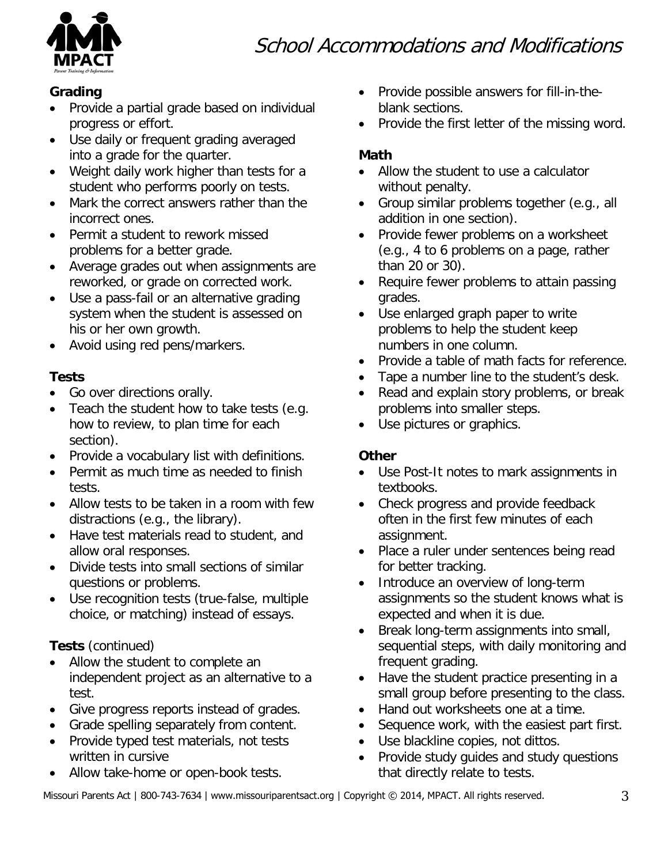# School Accommodations and Modifications



### **Grading**

- Provide a partial grade based on individual progress or effort.
- Use daily or frequent grading averaged into a grade for the quarter.
- Weight daily work higher than tests for a student who performs poorly on tests.
- Mark the correct answers rather than the incorrect ones.
- Permit a student to rework missed problems for a better grade.
- Average grades out when assignments are reworked, or grade on corrected work.
- Use a pass-fail or an alternative grading system when the student is assessed on his or her own growth.
- Avoid using red pens/markers.

### **Tests**

- Go over directions orally.
- Teach the student how to take tests (e.g. how to review, to plan time for each section).
- Provide a vocabulary list with definitions.
- Permit as much time as needed to finish tests.
- Allow tests to be taken in a room with few distractions (e.g., the library).
- Have test materials read to student, and allow oral responses.
- Divide tests into small sections of similar questions or problems.
- Use recognition tests (true-false, multiple choice, or matching) instead of essays.

# **Tests** (continued)

- Allow the student to complete an independent project as an alternative to a test.
- Give progress reports instead of grades.
- Grade spelling separately from content.
- Provide typed test materials, not tests written in cursive
- Allow take-home or open-book tests.
- Provide possible answers for fill-in-theblank sections.
- Provide the first letter of the missing word.

# **Math**

- Allow the student to use a calculator without penalty.
- Group similar problems together (e.g., all addition in one section).
- Provide fewer problems on a worksheet (e.g., 4 to 6 problems on a page, rather than 20 or 30).
- Require fewer problems to attain passing grades.
- Use enlarged graph paper to write problems to help the student keep numbers in one column.
- Provide a table of math facts for reference.
- Tape a number line to the student's desk.
- Read and explain story problems, or break problems into smaller steps.
- Use pictures or graphics.

# **Other**

- Use Post-It notes to mark assignments in textbooks.
- Check progress and provide feedback often in the first few minutes of each assignment.
- Place a ruler under sentences being read for better tracking.
- Introduce an overview of long-term assignments so the student knows what is expected and when it is due.
- Break long-term assignments into small, sequential steps, with daily monitoring and frequent grading.
- Have the student practice presenting in a small group before presenting to the class.
- Hand out worksheets one at a time.
- Sequence work, with the easiest part first.
- Use blackline copies, not dittos.
- Provide study guides and study questions that directly relate to tests.

Missouri Parents Act | 800-743-7634 | www.missouriparentsact.org | Copyright © 2014, MPACT. [All rights reserved.](http://www.ptimpact.org/) 3